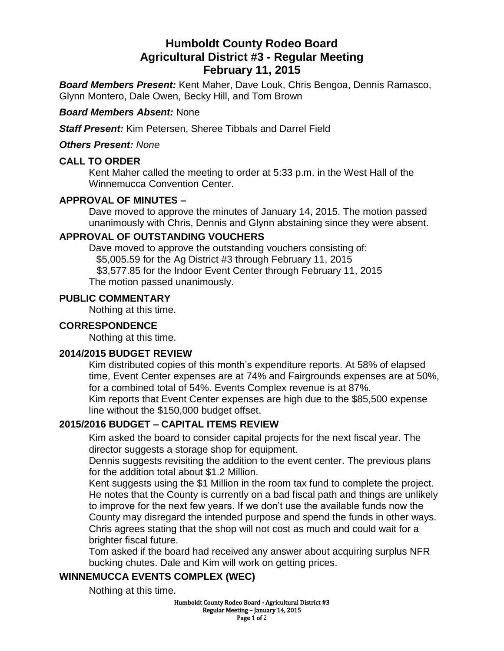# **Humboldt County Rodeo Board Agricultural District #3 - Regular Meeting February 11, 2015**

*Board Members Present:* Kent Maher, Dave Louk, Chris Bengoa, Dennis Ramasco, Glynn Montero, Dale Owen, Becky Hill, and Tom Brown

#### *Board Members Absent:* None

*Staff Present:* Kim Petersen, Sheree Tibbals and Darrel Field

*Others Present: None*

## **CALL TO ORDER**

Kent Maher called the meeting to order at 5:33 p.m. in the West Hall of the Winnemucca Convention Center.

## **APPROVAL OF MINUTES –**

Dave moved to approve the minutes of January 14, 2015. The motion passed unanimously with Chris, Dennis and Glynn abstaining since they were absent.

## **APPROVAL OF OUTSTANDING VOUCHERS**

Dave moved to approve the outstanding vouchers consisting of: \$5,005.59 for the Ag District #3 through February 11, 2015 \$3,577.85 for the Indoor Event Center through February 11, 2015

The motion passed unanimously.

#### **PUBLIC COMMENTARY**

Nothing at this time.

## **CORRESPONDENCE**

Nothing at this time.

#### **2014/2015 BUDGET REVIEW**

Kim distributed copies of this month's expenditure reports. At 58% of elapsed time, Event Center expenses are at 74% and Fairgrounds expenses are at 50%, for a combined total of 54%. Events Complex revenue is at 87%.

Kim reports that Event Center expenses are high due to the \$85,500 expense line without the \$150,000 budget offset.

## **2015/2016 BUDGET – CAPITAL ITEMS REVIEW**

Kim asked the board to consider capital projects for the next fiscal year. The director suggests a storage shop for equipment.

Dennis suggests revisiting the addition to the event center. The previous plans for the addition total about \$1.2 Million.

Kent suggests using the \$1 Million in the room tax fund to complete the project. He notes that the County is currently on a bad fiscal path and things are unlikely to improve for the next few years. If we don't use the available funds now the County may disregard the intended purpose and spend the funds in other ways. Chris agrees stating that the shop will not cost as much and could wait for a brighter fiscal future.

Tom asked if the board had received any answer about acquiring surplus NFR bucking chutes. Dale and Kim will work on getting prices.

## **WINNEMUCCA EVENTS COMPLEX (WEC)**

Nothing at this time.